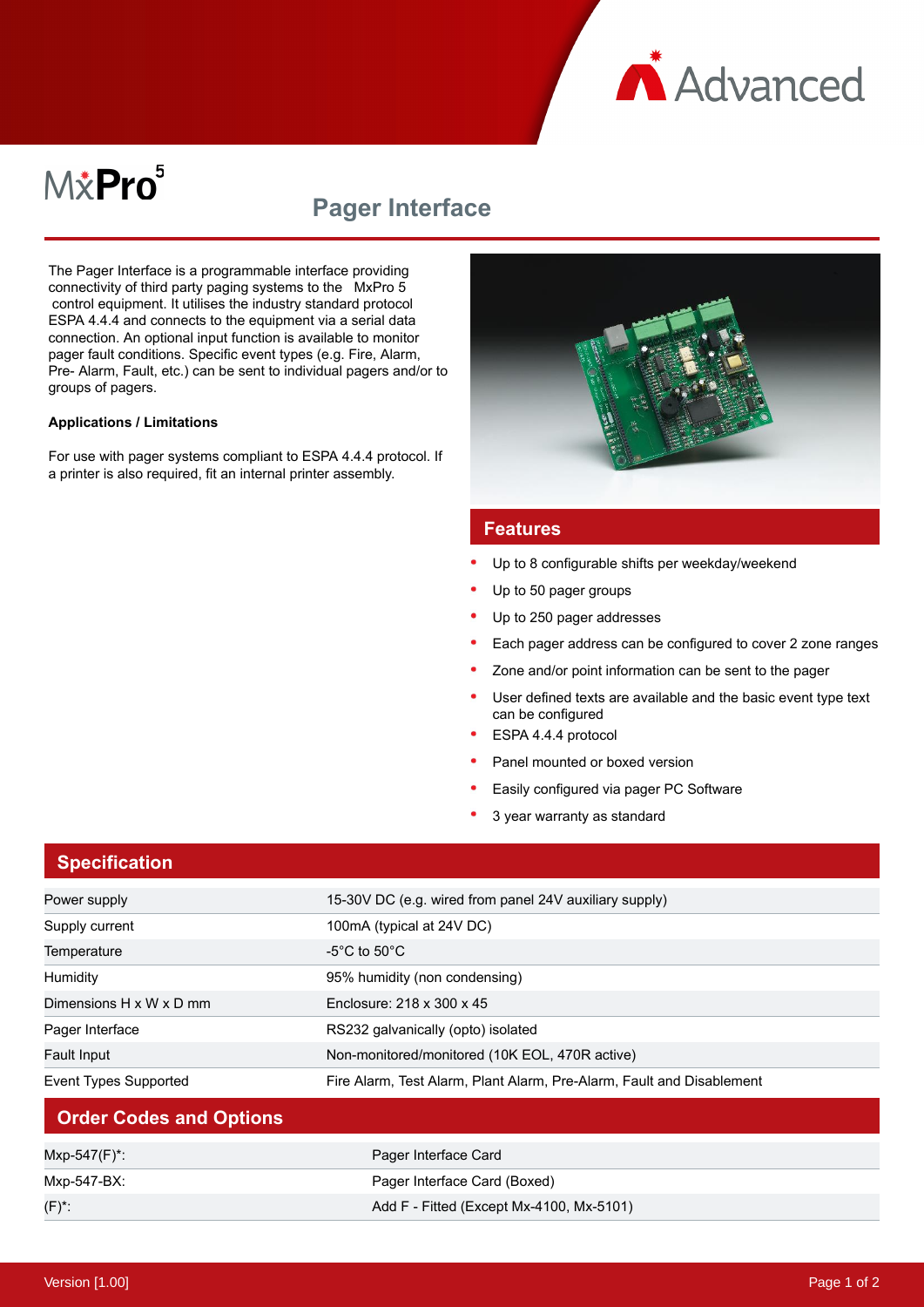

# M&Pro<sup>5</sup>

## **Pager Interface**

The Pager Interface is a programmable interface providing connectivity of third party paging systems to the MxPro 5 control equipment. It utilises the industry standard protocol ESPA 4.4.4 and connects to the equipment via a serial data connection. An optional input function is available to monitor pager fault conditions. Specific event types (e.g. Fire, Alarm, Pre- Alarm, Fault, etc.) can be sent to individual pagers and/or to groups of pagers.

#### **Applications / Limitations**

For use with pager systems compliant to ESPA 4.4.4 protocol. If a printer is also required, fit an internal printer assembly.



#### **Features**

- Up to 8 configurable shifts per weekday/weekend
- Up to 50 pager groups
- Up to 250 pager addresses
- Each pager address can be configured to cover 2 zone ranges
- Zone and/or point information can be sent to the pager
- User defined texts are available and the basic event type text can be configured
- ESPA 4.4.4 protocol
- Panel mounted or boxed version
- Easily configured via pager PC Software
- 3 year warranty as standard

#### **Specification**

| Power supply                   | 15-30V DC (e.g. wired from panel 24V auxiliary supply)                |
|--------------------------------|-----------------------------------------------------------------------|
| Supply current                 | 100mA (typical at 24V DC)                                             |
| Temperature                    | -5°C to 50°C.                                                         |
| Humidity                       | 95% humidity (non condensing)                                         |
| Dimensions H x W x D mm        | Enclosure: 218 x 300 x 45                                             |
| Pager Interface                | RS232 galvanically (opto) isolated                                    |
| <b>Fault Input</b>             | Non-monitored/monitored (10K EOL, 470R active)                        |
| Event Types Supported          | Fire Alarm, Test Alarm, Plant Alarm, Pre-Alarm, Fault and Disablement |
| <b>Order Codes and Options</b> |                                                                       |
| Mxp-547(F)*:                   | Pager Interface Card                                                  |
| Mxp-547-BX:                    | Pager Interface Card (Boxed)                                          |